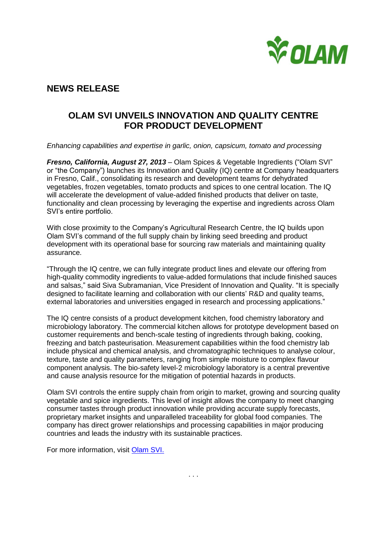

# **NEWS RELEASE**

## **OLAM SVI UNVEILS INNOVATION AND QUALITY CENTRE FOR PRODUCT DEVELOPMENT**

*Enhancing capabilities and expertise in garlic, onion, capsicum, tomato and processing*

*Fresno, California, August 27, 2013* – Olam Spices & Vegetable Ingredients ("Olam SVI" or "the Company") launches its Innovation and Quality (IQ) centre at Company headquarters in Fresno, Calif., consolidating its research and development teams for dehydrated vegetables, frozen vegetables, tomato products and spices to one central location. The IQ will accelerate the development of value-added finished products that deliver on taste, functionality and clean processing by leveraging the expertise and ingredients across Olam SVI's entire portfolio.

With close proximity to the Company's Agricultural Research Centre, the IQ builds upon Olam SVI's command of the full supply chain by linking seed breeding and product development with its operational base for sourcing raw materials and maintaining quality assurance.

"Through the IQ centre, we can fully integrate product lines and elevate our offering from high-quality commodity ingredients to value-added formulations that include finished sauces and salsas," said Siva Subramanian, Vice President of Innovation and Quality. "It is specially designed to facilitate learning and collaboration with our clients' R&D and quality teams, external laboratories and universities engaged in research and processing applications."

The IQ centre consists of a product development kitchen, food chemistry laboratory and microbiology laboratory. The commercial kitchen allows for prototype development based on customer requirements and bench-scale testing of ingredients through baking, cooking, freezing and batch pasteurisation. Measurement capabilities within the food chemistry lab include physical and chemical analysis, and chromatographic techniques to analyse colour, texture, taste and quality parameters, ranging from simple moisture to complex flavour component analysis. The bio-safety level-2 microbiology laboratory is a central preventive and cause analysis resource for the mitigation of potential hazards in products.

Olam SVI controls the entire supply chain from origin to market, growing and sourcing quality vegetable and spice ingredients. This level of insight allows the company to meet changing consumer tastes through product innovation while providing accurate supply forecasts, proprietary market insights and unparalleled traceability for global food companies. The company has direct grower relationships and processing capabilities in major producing countries and leads the industry with its sustainable practices.

For more information, visit [Olam SVI.](http://olamonline.com/products-services/spices-vegetable-ingredients/innovation-and-quality)